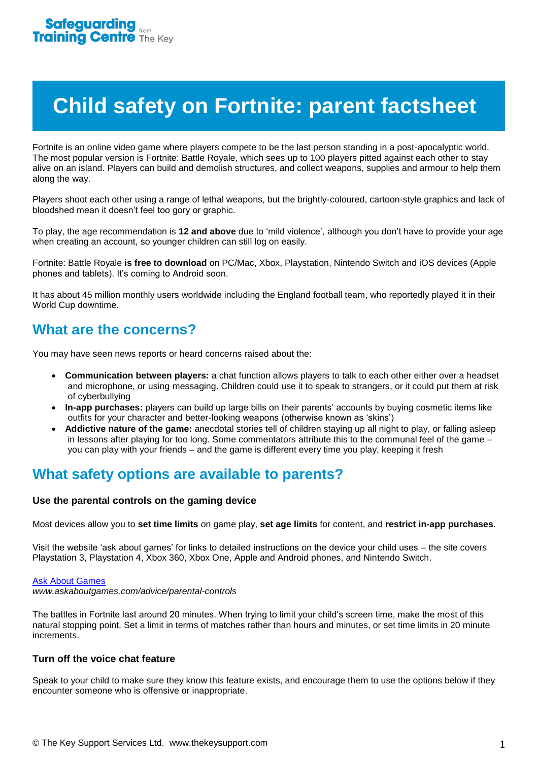# **Child safety on Fortnite: parent factsheet**

Fortnite is an online video game where players compete to be the last person standing in a post-apocalyptic world. The most popular version is Fortnite: Battle Royale, which sees up to 100 players pitted against each other to stay alive on an island. Players can build and demolish structures, and collect weapons, supplies and armour to help them along the way.

Players shoot each other using a range of lethal weapons, but the brightly-coloured, cartoon-style graphics and lack of bloodshed mean it doesn't feel too gory or graphic.

To play, the age recommendation is **12 and above** due to 'mild violence', although you don't have to provide your age when creating an account, so younger children can still log on easily.

Fortnite: Battle Royale **is free to download** on PC/Mac, Xbox, Playstation, Nintendo Switch and iOS devices (Apple phones and tablets). It's coming to Android soon.

It has about 45 million monthly users worldwide including the England football team, who reportedly played it in their World Cup downtime.

# **What are the concerns?**

You may have seen news reports or heard concerns raised about the:

- **Communication between players:** a chat function allows players to talk to each other either over a headset and microphone, or using messaging. Children could use it to speak to strangers, or it could put them at risk of cyberbullying
- **In-app purchases:** players can build up large bills on their parents' accounts by buying cosmetic items like outfits for your character and better-looking weapons (otherwise known as 'skins')
- **Addictive nature of the game:** anecdotal stories tell of children staying up all night to play, or falling asleep in lessons after playing for too long. Some commentators attribute this to the communal feel of the game – you can play with your friends – and the game is different every time you play, keeping it fresh

## **What safety options are available to parents?**

### **Use the parental controls on the gaming device**

Most devices allow you to **set time limits** on game play, **set age limits** for content, and **restrict in-app purchases**.

Visit the website 'ask about games' for links to detailed instructions on the device your child uses – the site covers Playstation 3, Playstation 4, Xbox 360, Xbox One, Apple and Android phones, and Nintendo Switch.

#### [Ask About Games](http://www.askaboutgames.com/advice/parental-controls)

*www.askaboutgames.com/advice/parental-controls*

The battles in Fortnite last around 20 minutes. When trying to limit your child's screen time, make the most of this natural stopping point. Set a limit in terms of matches rather than hours and minutes, or set time limits in 20 minute increments.

### **Turn off the voice chat feature**

Speak to your child to make sure they know this feature exists, and encourage them to use the options below if they encounter someone who is offensive or inappropriate.